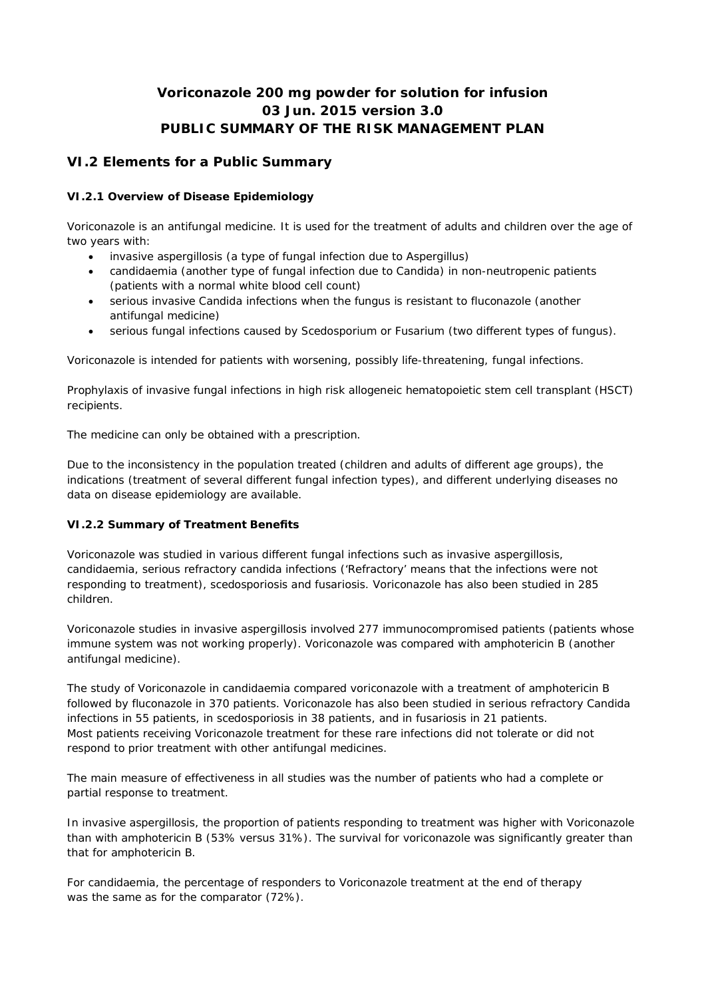# **Voriconazole 200 mg powder for solution for infusion 03 Jun. 2015 version 3.0 PUBLIC SUMMARY OF THE RISK MANAGEMENT PLAN**

# **VI.2 Elements for a Public Summary**

## *VI.2.1 Overview of Disease Epidemiology*

Voriconazole is an antifungal medicine. It is used for the treatment of adults and children over the age of two years with:

- invasive aspergillosis (a type of fungal infection due to Aspergillus)
- candidaemia (another type of fungal infection due to Candida) in non-neutropenic patients (patients with a normal white blood cell count)
- serious invasive Candida infections when the fungus is resistant to fluconazole (another antifungal medicine)
- serious fungal infections caused by Scedosporium or Fusarium (two different types of fungus).

Voriconazole is intended for patients with worsening, possibly life-threatening, fungal infections.

Prophylaxis of invasive fungal infections in high risk allogeneic hematopoietic stem cell transplant (HSCT) recipients.

The medicine can only be obtained with a prescription.

Due to the inconsistency in the population treated (children and adults of different age groups), the indications (treatment of several different fungal infection types), and different underlying diseases no data on disease epidemiology are available.

#### *VI.2.2 Summary of Treatment Benefits*

Voriconazole was studied in various different fungal infections such as invasive aspergillosis, candidaemia, serious refractory candida infections ('Refractory' means that the infections were not responding to treatment), scedosporiosis and fusariosis. Voriconazole has also been studied in 285 children.

Voriconazole studies in invasive aspergillosis involved 277 immunocompromised patients (patients whose immune system was not working properly). Voriconazole was compared with amphotericin B (another antifungal medicine).

The study of Voriconazole in candidaemia compared voriconazole with a treatment of amphotericin B followed by fluconazole in 370 patients. Voriconazole has also been studied in serious refractory Candida infections in 55 patients, in scedosporiosis in 38 patients, and in fusariosis in 21 patients. Most patients receiving Voriconazole treatment for these rare infections did not tolerate or did not respond to prior treatment with other antifungal medicines.

The main measure of effectiveness in all studies was the number of patients who had a complete or partial response to treatment.

In invasive aspergillosis, the proportion of patients responding to treatment was higher with Voriconazole than with amphotericin B (53% versus 31%). The survival for voriconazole was significantly greater than that for amphotericin B.

For candidaemia, the percentage of responders to Voriconazole treatment at the end of therapy was the same as for the comparator (72%).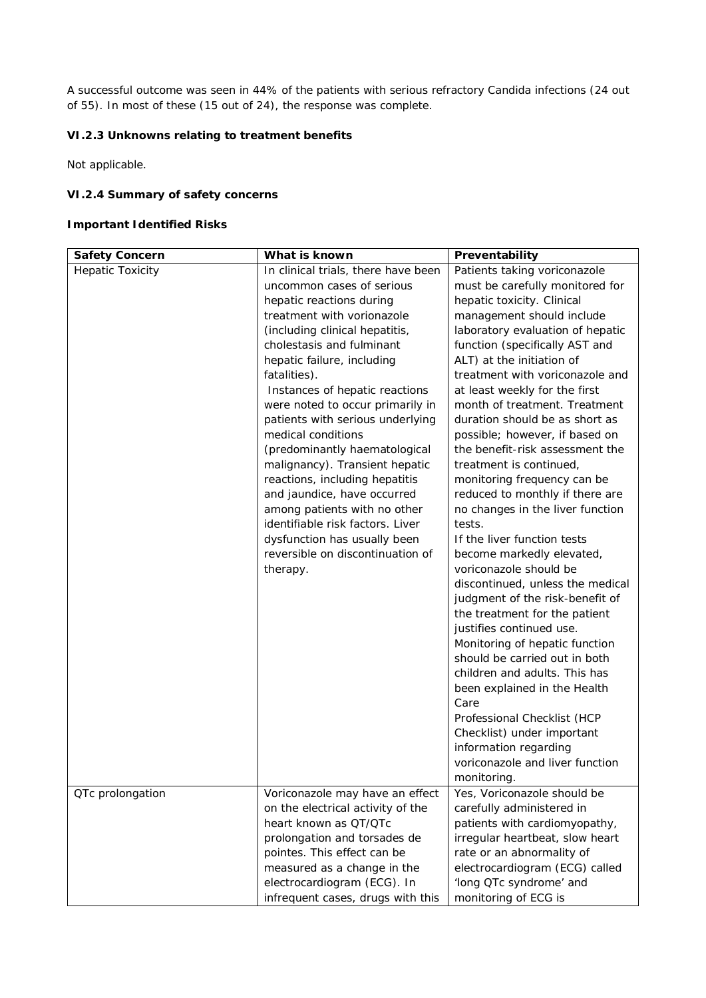A successful outcome was seen in 44% of the patients with serious refractory Candida infections (24 out of 55). In most of these (15 out of 24), the response was complete.

*VI.2.3 Unknowns relating to treatment benefits*

Not applicable.

**VI.2.4 Summary of safety concerns**

**Important Identified Risks**

| Safety Concern          | What is known                       | Preventability                   |
|-------------------------|-------------------------------------|----------------------------------|
| <b>Hepatic Toxicity</b> | In clinical trials, there have been | Patients taking voriconazole     |
|                         | uncommon cases of serious           | must be carefully monitored for  |
|                         | hepatic reactions during            | hepatic toxicity. Clinical       |
|                         | treatment with vorionazole          | management should include        |
|                         | (including clinical hepatitis,      | laboratory evaluation of hepatic |
|                         | cholestasis and fulminant           | function (specifically AST and   |
|                         | hepatic failure, including          | ALT) at the initiation of        |
|                         | fatalities).                        | treatment with voriconazole and  |
|                         | Instances of hepatic reactions      | at least weekly for the first    |
|                         | were noted to occur primarily in    | month of treatment. Treatment    |
|                         | patients with serious underlying    | duration should be as short as   |
|                         | medical conditions                  | possible; however, if based on   |
|                         | (predominantly haematological       | the benefit-risk assessment the  |
|                         | malignancy). Transient hepatic      | treatment is continued,          |
|                         | reactions, including hepatitis      | monitoring frequency can be      |
|                         | and jaundice, have occurred         | reduced to monthly if there are  |
|                         | among patients with no other        | no changes in the liver function |
|                         | identifiable risk factors. Liver    | tests.                           |
|                         | dysfunction has usually been        | If the liver function tests      |
|                         | reversible on discontinuation of    | become markedly elevated,        |
|                         | therapy.                            | voriconazole should be           |
|                         |                                     | discontinued, unless the medical |
|                         |                                     | judgment of the risk-benefit of  |
|                         |                                     | the treatment for the patient    |
|                         |                                     | justifies continued use.         |
|                         |                                     | Monitoring of hepatic function   |
|                         |                                     | should be carried out in both    |
|                         |                                     | children and adults. This has    |
|                         |                                     | been explained in the Health     |
|                         |                                     | Care                             |
|                         |                                     | Professional Checklist (HCP      |
|                         |                                     | Checklist) under important       |
|                         |                                     | information regarding            |
|                         |                                     | voriconazole and liver function  |
|                         |                                     | monitoring.                      |
| QTc prolongation        | Voriconazole may have an effect     | Yes, Voriconazole should be      |
|                         | on the electrical activity of the   | carefully administered in        |
|                         | heart known as QT/QTc               | patients with cardiomyopathy,    |
|                         | prolongation and torsades de        | irregular heartbeat, slow heart  |
|                         | pointes. This effect can be         | rate or an abnormality of        |
|                         | measured as a change in the         | electrocardiogram (ECG) called   |
|                         | electrocardiogram (ECG). In         | 'long QTc syndrome' and          |
|                         | infrequent cases, drugs with this   | monitoring of ECG is             |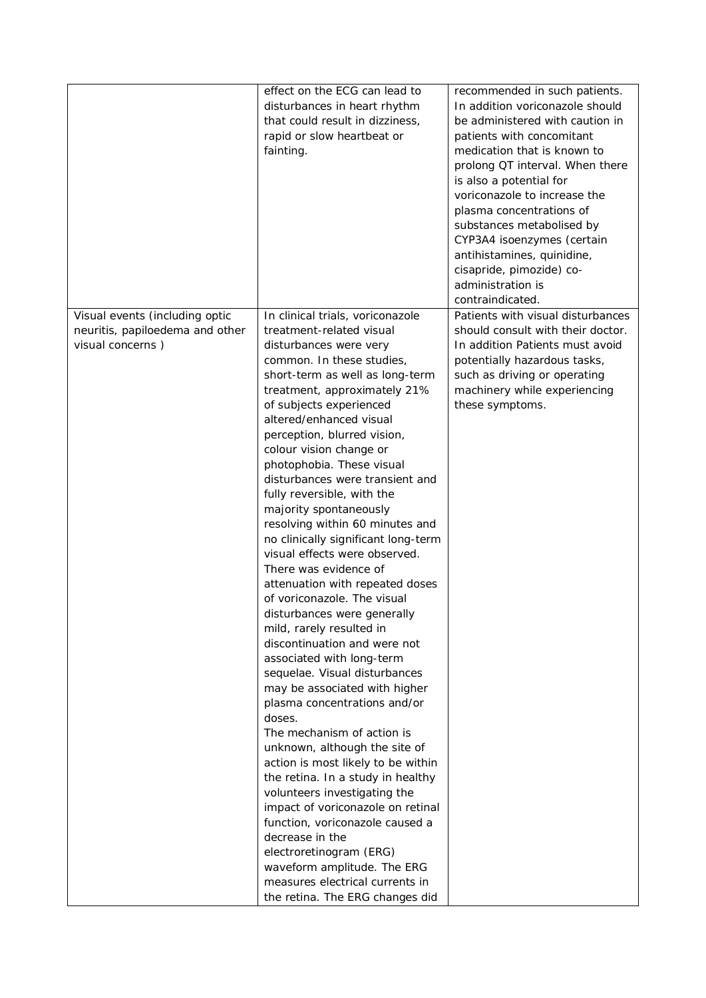|                                                                                       | effect on the ECG can lead to<br>disturbances in heart rhythm<br>that could result in dizziness,<br>rapid or slow heartbeat or<br>fainting.                                                                                                                                                                                                                                                                                                                                                                                                                                                                                                                                                                                                                                                                                                                                                                                                                                                                                                        | recommended in such patients.<br>In addition voriconazole should<br>be administered with caution in<br>patients with concomitant<br>medication that is known to<br>prolong QT interval. When there<br>is also a potential for<br>voriconazole to increase the<br>plasma concentrations of<br>substances metabolised by |
|---------------------------------------------------------------------------------------|----------------------------------------------------------------------------------------------------------------------------------------------------------------------------------------------------------------------------------------------------------------------------------------------------------------------------------------------------------------------------------------------------------------------------------------------------------------------------------------------------------------------------------------------------------------------------------------------------------------------------------------------------------------------------------------------------------------------------------------------------------------------------------------------------------------------------------------------------------------------------------------------------------------------------------------------------------------------------------------------------------------------------------------------------|------------------------------------------------------------------------------------------------------------------------------------------------------------------------------------------------------------------------------------------------------------------------------------------------------------------------|
|                                                                                       |                                                                                                                                                                                                                                                                                                                                                                                                                                                                                                                                                                                                                                                                                                                                                                                                                                                                                                                                                                                                                                                    | CYP3A4 isoenzymes (certain<br>antihistamines, quinidine,<br>cisapride, pimozide) co-<br>administration is                                                                                                                                                                                                              |
|                                                                                       |                                                                                                                                                                                                                                                                                                                                                                                                                                                                                                                                                                                                                                                                                                                                                                                                                                                                                                                                                                                                                                                    | contraindicated.                                                                                                                                                                                                                                                                                                       |
| Visual events (including optic<br>neuritis, papiloedema and other<br>visual concerns) | In clinical trials, voriconazole<br>treatment-related visual<br>disturbances were very<br>common. In these studies,<br>short-term as well as long-term<br>treatment, approximately 21%<br>of subjects experienced<br>altered/enhanced visual<br>perception, blurred vision,<br>colour vision change or<br>photophobia. These visual<br>disturbances were transient and<br>fully reversible, with the<br>majority spontaneously<br>resolving within 60 minutes and<br>no clinically significant long-term<br>visual effects were observed.<br>There was evidence of<br>attenuation with repeated doses<br>of voriconazole. The visual<br>disturbances were generally<br>mild, rarely resulted in<br>discontinuation and were not<br>associated with long-term<br>sequelae. Visual disturbances<br>may be associated with higher<br>plasma concentrations and/or<br>doses.<br>The mechanism of action is<br>unknown, although the site of<br>action is most likely to be within<br>the retina. In a study in healthy<br>volunteers investigating the | Patients with visual disturbances<br>should consult with their doctor.<br>In addition Patients must avoid<br>potentially hazardous tasks,<br>such as driving or operating<br>machinery while experiencing<br>these symptoms.                                                                                           |
|                                                                                       | impact of voriconazole on retinal<br>function, voriconazole caused a<br>decrease in the<br>electroretinogram (ERG)<br>waveform amplitude. The ERG<br>measures electrical currents in<br>the retina. The ERG changes did                                                                                                                                                                                                                                                                                                                                                                                                                                                                                                                                                                                                                                                                                                                                                                                                                            |                                                                                                                                                                                                                                                                                                                        |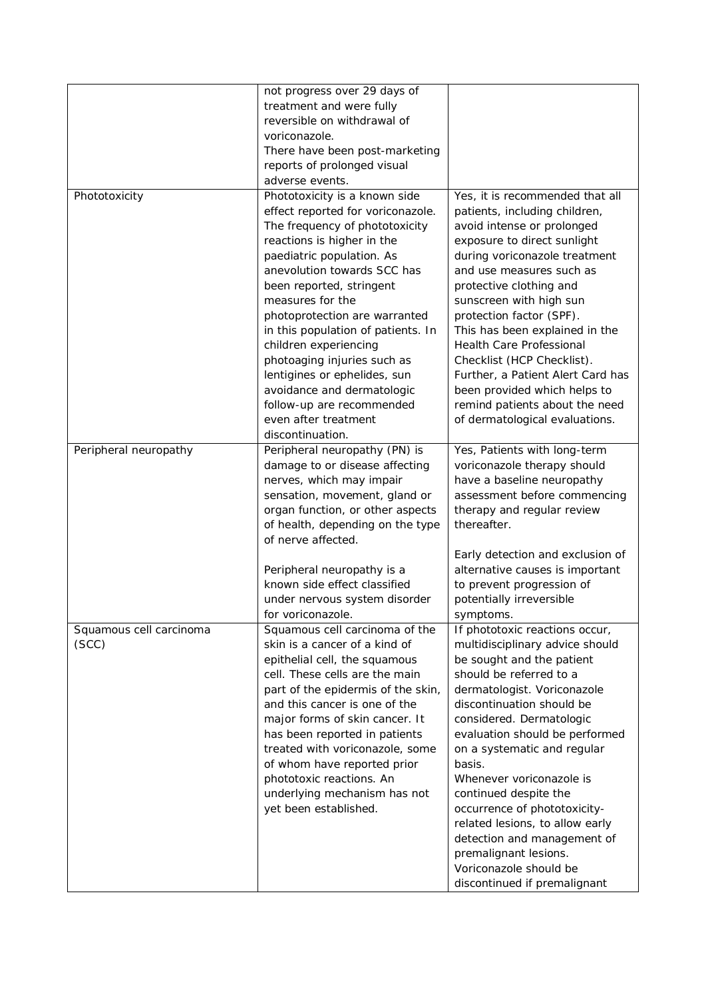|                         | not progress over 29 days of       |                                   |
|-------------------------|------------------------------------|-----------------------------------|
|                         | treatment and were fully           |                                   |
|                         | reversible on withdrawal of        |                                   |
|                         | voriconazole.                      |                                   |
|                         | There have been post-marketing     |                                   |
|                         | reports of prolonged visual        |                                   |
|                         | adverse events.                    |                                   |
|                         |                                    |                                   |
| Phototoxicity           | Phototoxicity is a known side      | Yes, it is recommended that all   |
|                         | effect reported for voriconazole.  | patients, including children,     |
|                         | The frequency of phototoxicity     | avoid intense or prolonged        |
|                         | reactions is higher in the         | exposure to direct sunlight       |
|                         | paediatric population. As          | during voriconazole treatment     |
|                         | anevolution towards SCC has        | and use measures such as          |
|                         | been reported, stringent           | protective clothing and           |
|                         | measures for the                   | sunscreen with high sun           |
|                         | photoprotection are warranted      | protection factor (SPF).          |
|                         | in this population of patients. In | This has been explained in the    |
|                         | children experiencing              | Health Care Professional          |
|                         | photoaging injuries such as        | Checklist (HCP Checklist).        |
|                         | lentigines or ephelides, sun       | Further, a Patient Alert Card has |
|                         | avoidance and dermatologic         | been provided which helps to      |
|                         | follow-up are recommended          | remind patients about the need    |
|                         | even after treatment               | of dermatological evaluations.    |
|                         | discontinuation.                   |                                   |
| Peripheral neuropathy   | Peripheral neuropathy (PN) is      | Yes, Patients with long-term      |
|                         | damage to or disease affecting     | voriconazole therapy should       |
|                         |                                    |                                   |
|                         | nerves, which may impair           | have a baseline neuropathy        |
|                         | sensation, movement, gland or      | assessment before commencing      |
|                         | organ function, or other aspects   | therapy and regular review        |
|                         | of health, depending on the type   | thereafter.                       |
|                         | of nerve affected.                 |                                   |
|                         |                                    | Early detection and exclusion of  |
|                         | Peripheral neuropathy is a         | alternative causes is important   |
|                         | known side effect classified       | to prevent progression of         |
|                         | under nervous system disorder      | potentially irreversible          |
|                         | for voriconazole.                  | symptoms.                         |
| Squamous cell carcinoma | Squamous cell carcinoma of the     | If phototoxic reactions occur,    |
| (SCC)                   | skin is a cancer of a kind of      | multidisciplinary advice should   |
|                         | epithelial cell, the squamous      | be sought and the patient         |
|                         | cell. These cells are the main     | should be referred to a           |
|                         | part of the epidermis of the skin, | dermatologist. Voriconazole       |
|                         | and this cancer is one of the      | discontinuation should be         |
|                         | major forms of skin cancer. It     | considered. Dermatologic          |
|                         | has been reported in patients      | evaluation should be performed    |
|                         | treated with voriconazole, some    | on a systematic and regular       |
|                         | of whom have reported prior        | basis.                            |
|                         | phototoxic reactions. An           | Whenever voriconazole is          |
|                         | underlying mechanism has not       | continued despite the             |
|                         |                                    |                                   |
|                         | yet been established.              | occurrence of phototoxicity-      |
|                         |                                    | related lesions, to allow early   |
|                         |                                    | detection and management of       |
|                         |                                    | premalignant lesions.             |
|                         |                                    | Voriconazole should be            |
|                         |                                    | discontinued if premalignant      |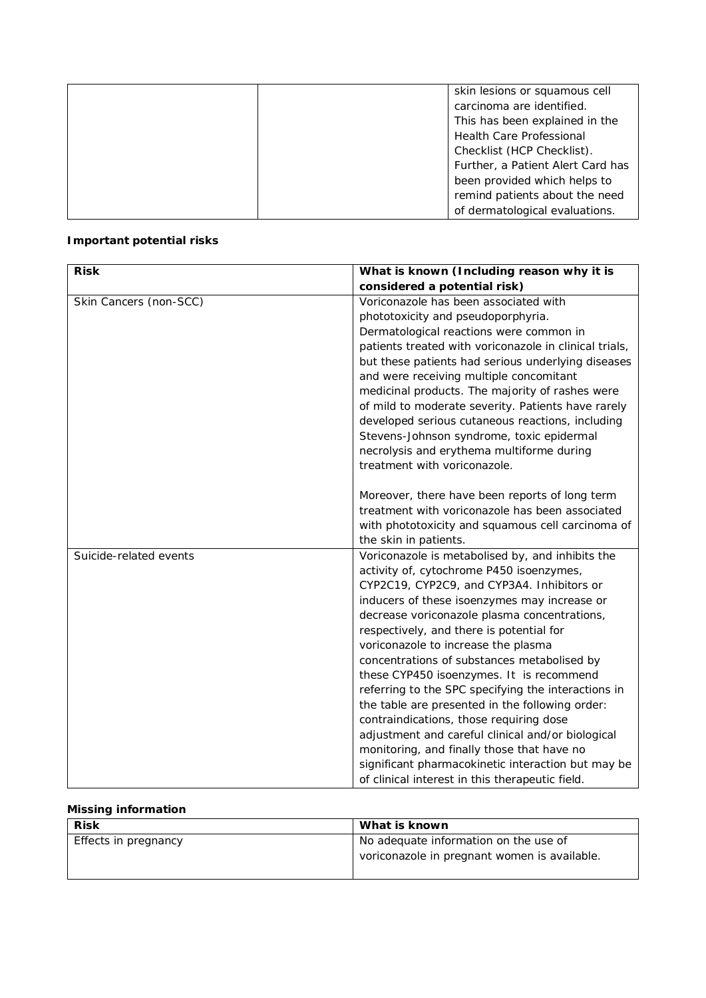| skin lesions or squamous cell     |
|-----------------------------------|
| carcinoma are identified.         |
| This has been explained in the    |
| <b>Health Care Professional</b>   |
| Checklist (HCP Checklist).        |
| Further, a Patient Alert Card has |
| been provided which helps to      |
| remind patients about the need    |
| of dermatological evaluations.    |

## **Important potential risks**

| <b>Risk</b>            | What is known (Including reason why it is              |
|------------------------|--------------------------------------------------------|
|                        | considered a potential risk)                           |
| Skin Cancers (non-SCC) | Voriconazole has been associated with                  |
|                        | phototoxicity and pseudoporphyria.                     |
|                        | Dermatological reactions were common in                |
|                        | patients treated with voriconazole in clinical trials, |
|                        | but these patients had serious underlying diseases     |
|                        | and were receiving multiple concomitant                |
|                        | medicinal products. The majority of rashes were        |
|                        | of mild to moderate severity. Patients have rarely     |
|                        | developed serious cutaneous reactions, including       |
|                        | Stevens-Johnson syndrome, toxic epidermal              |
|                        | necrolysis and erythema multiforme during              |
|                        | treatment with voriconazole.                           |
|                        |                                                        |
|                        | Moreover, there have been reports of long term         |
|                        | treatment with voriconazole has been associated        |
|                        | with phototoxicity and squamous cell carcinoma of      |
|                        | the skin in patients.                                  |
| Suicide-related events | Voriconazole is metabolised by, and inhibits the       |
|                        | activity of, cytochrome P450 isoenzymes,               |
|                        | CYP2C19, CYP2C9, and CYP3A4. Inhibitors or             |
|                        | inducers of these isoenzymes may increase or           |
|                        | decrease voriconazole plasma concentrations,           |
|                        | respectively, and there is potential for               |
|                        | voriconazole to increase the plasma                    |
|                        | concentrations of substances metabolised by            |
|                        | these CYP450 isoenzymes. It is recommend               |
|                        | referring to the SPC specifying the interactions in    |
|                        | the table are presented in the following order:        |
|                        | contraindications, those requiring dose                |
|                        | adjustment and careful clinical and/or biological      |
|                        | monitoring, and finally those that have no             |
|                        | significant pharmacokinetic interaction but may be     |
|                        | of clinical interest in this therapeutic field.        |

# **Missing information**

| <b>Risk</b>          | What is known                                |
|----------------------|----------------------------------------------|
| Effects in pregnancy | No adequate information on the use of        |
|                      | voriconazole in pregnant women is available. |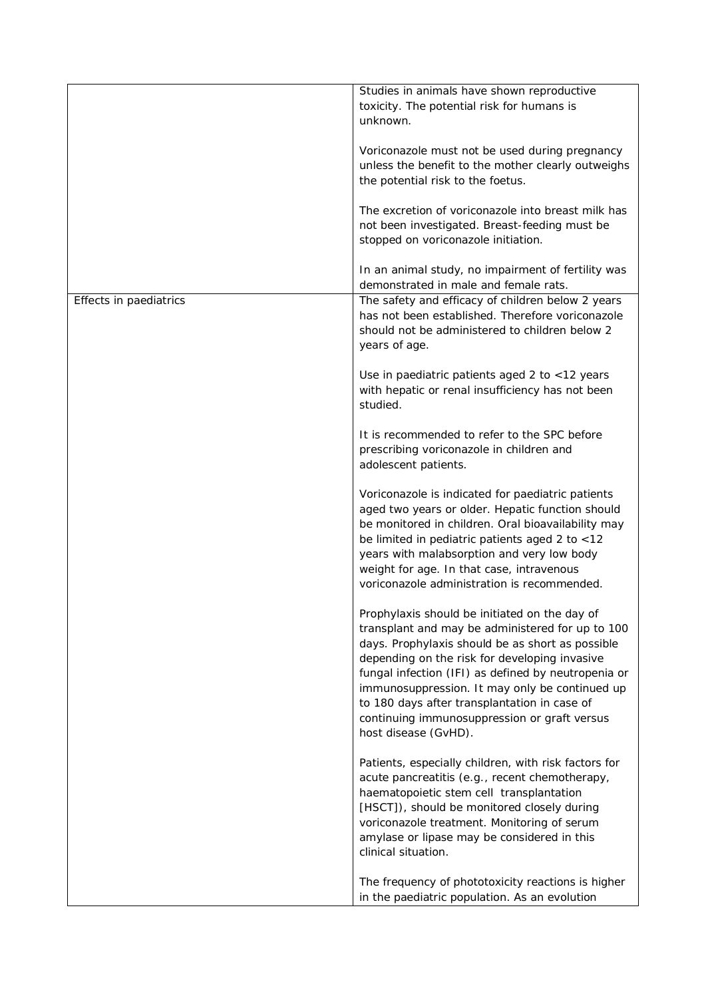|                        | Studies in animals have shown reproductive<br>toxicity. The potential risk for humans is<br>unknown.                                                                                                                                                                                                                                                                                                                                    |
|------------------------|-----------------------------------------------------------------------------------------------------------------------------------------------------------------------------------------------------------------------------------------------------------------------------------------------------------------------------------------------------------------------------------------------------------------------------------------|
|                        | Voriconazole must not be used during pregnancy<br>unless the benefit to the mother clearly outweighs<br>the potential risk to the foetus.                                                                                                                                                                                                                                                                                               |
|                        | The excretion of voriconazole into breast milk has<br>not been investigated. Breast-feeding must be<br>stopped on voriconazole initiation.                                                                                                                                                                                                                                                                                              |
|                        | In an animal study, no impairment of fertility was<br>demonstrated in male and female rats.                                                                                                                                                                                                                                                                                                                                             |
| Effects in paediatrics | The safety and efficacy of children below 2 years<br>has not been established. Therefore voriconazole<br>should not be administered to children below 2<br>years of age.                                                                                                                                                                                                                                                                |
|                        | Use in paediatric patients aged 2 to <12 years<br>with hepatic or renal insufficiency has not been<br>studied.                                                                                                                                                                                                                                                                                                                          |
|                        | It is recommended to refer to the SPC before<br>prescribing voriconazole in children and<br>adolescent patients.                                                                                                                                                                                                                                                                                                                        |
|                        | Voriconazole is indicated for paediatric patients<br>aged two years or older. Hepatic function should<br>be monitored in children. Oral bioavailability may<br>be limited in pediatric patients aged 2 to <12<br>years with malabsorption and very low body<br>weight for age. In that case, intravenous<br>voriconazole administration is recommended.                                                                                 |
|                        | Prophylaxis should be initiated on the day of<br>transplant and may be administered for up to 100<br>days. Prophylaxis should be as short as possible<br>depending on the risk for developing invasive<br>fungal infection (IFI) as defined by neutropenia or<br>immunosuppression. It may only be continued up<br>to 180 days after transplantation in case of<br>continuing immunosuppression or graft versus<br>host disease (GvHD). |
|                        | Patients, especially children, with risk factors for<br>acute pancreatitis (e.g., recent chemotherapy,<br>haematopoietic stem cell transplantation<br>[HSCT]), should be monitored closely during<br>voriconazole treatment. Monitoring of serum<br>amylase or lipase may be considered in this<br>clinical situation.                                                                                                                  |
|                        | The frequency of phototoxicity reactions is higher<br>in the paediatric population. As an evolution                                                                                                                                                                                                                                                                                                                                     |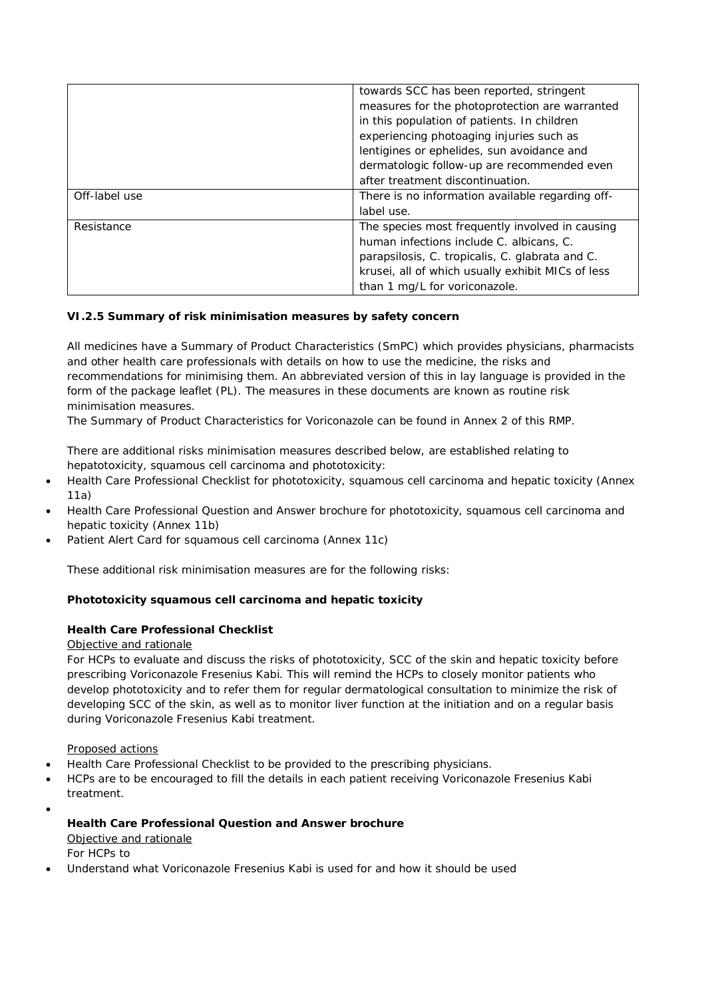|               | towards SCC has been reported, stringent          |
|---------------|---------------------------------------------------|
|               |                                                   |
|               | measures for the photoprotection are warranted    |
|               | in this population of patients. In children       |
|               | experiencing photoaging injuries such as          |
|               | lentigines or ephelides, sun avoidance and        |
|               | dermatologic follow-up are recommended even       |
|               | after treatment discontinuation.                  |
| Off-label use | There is no information available regarding off-  |
|               | label use.                                        |
| Resistance    | The species most frequently involved in causing   |
|               | human infections include C. albicans, C.          |
|               | parapsilosis, C. tropicalis, C. glabrata and C.   |
|               | krusei, all of which usually exhibit MICs of less |
|               | than 1 mg/L for voriconazole.                     |

## *VI.2.5 Summary of risk minimisation measures by safety concern*

All medicines have a Summary of Product Characteristics (SmPC) which provides physicians, pharmacists and other health care professionals with details on how to use the medicine, the risks and recommendations for minimising them. An abbreviated version of this in lay language is provided in the form of the package leaflet (PL). The measures in these documents are known as routine risk minimisation measures.

The Summary of Product Characteristics for Voriconazole can be found in Annex 2 of this RMP.

There are additional risks minimisation measures described below, are established relating to hepatotoxicity, squamous cell carcinoma and phototoxicity:

- x Health Care Professional Checklist for phototoxicity, squamous cell carcinoma and hepatic toxicity (Annex 11a)
- Health Care Professional Question and Answer brochure for phototoxicity, squamous cell carcinoma and hepatic toxicity (Annex 11b)
- Patient Alert Card for squamous cell carcinoma (Annex 11c)

These additional risk minimisation measures are for the following risks:

**Phototoxicity squamous cell carcinoma and hepatic toxicity**

#### *Health Care Professional Checklist*

#### Objective and rationale

For HCPs to evaluate and discuss the risks of phototoxicity, SCC of the skin and hepatic toxicity before prescribing Voriconazole Fresenius Kabi. This will remind the HCPs to closely monitor patients who develop phototoxicity and to refer them for regular dermatological consultation to minimize the risk of developing SCC of the skin, as well as to monitor liver function at the initiation and on a regular basis during Voriconazole Fresenius Kabi treatment.

#### Proposed actions

- Health Care Professional Checklist to be provided to the prescribing physicians.
- x HCPs are to be encouraged to fill the details in each patient receiving Voriconazole Fresenius Kabi treatment.
- $\bullet$ 
	- *Health Care Professional Question and Answer brochure* Objective and rationale For HCPs to
- x Understand what Voriconazole Fresenius Kabi is used for and how it should be used